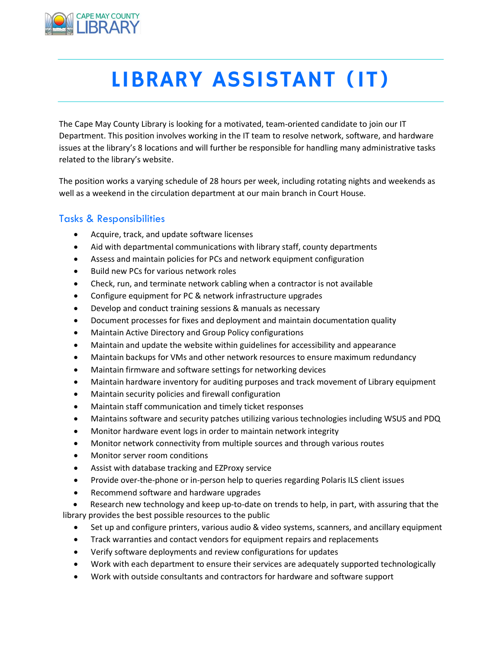

# LIBRARY ASSISTANT (IT)

The Cape May County Library is looking for a motivated, team-oriented candidate to join our IT Department. This position involves working in the IT team to resolve network, software, and hardware issues at the library's 8 locations and will further be responsible for handling many administrative tasks related to the library's website.

The position works a varying schedule of 28 hours per week, including rotating nights and weekends as well as a weekend in the circulation department at our main branch in Court House.

### Tasks & Responsibilities

- Acquire, track, and update software licenses
- Aid with departmental communications with library staff, county departments
- Assess and maintain policies for PCs and network equipment configuration
- Build new PCs for various network roles
- Check, run, and terminate network cabling when a contractor is not available
- Configure equipment for PC & network infrastructure upgrades
- Develop and conduct training sessions & manuals as necessary
- Document processes for fixes and deployment and maintain documentation quality
- Maintain Active Directory and Group Policy configurations
- Maintain and update the website within guidelines for accessibility and appearance
- Maintain backups for VMs and other network resources to ensure maximum redundancy
- Maintain firmware and software settings for networking devices
- Maintain hardware inventory for auditing purposes and track movement of Library equipment
- Maintain security policies and firewall configuration
- Maintain staff communication and timely ticket responses
- Maintains software and security patches utilizing various technologies including WSUS and PDQ
- Monitor hardware event logs in order to maintain network integrity
- Monitor network connectivity from multiple sources and through various routes
- Monitor server room conditions
- Assist with database tracking and EZProxy service
- Provide over-the-phone or in-person help to queries regarding Polaris ILS client issues
- Recommend software and hardware upgrades
- Research new technology and keep up-to-date on trends to help, in part, with assuring that the library provides the best possible resources to the public
	- Set up and configure printers, various audio & video systems, scanners, and ancillary equipment
	- Track warranties and contact vendors for equipment repairs and replacements
	- Verify software deployments and review configurations for updates
	- Work with each department to ensure their services are adequately supported technologically
	- Work with outside consultants and contractors for hardware and software support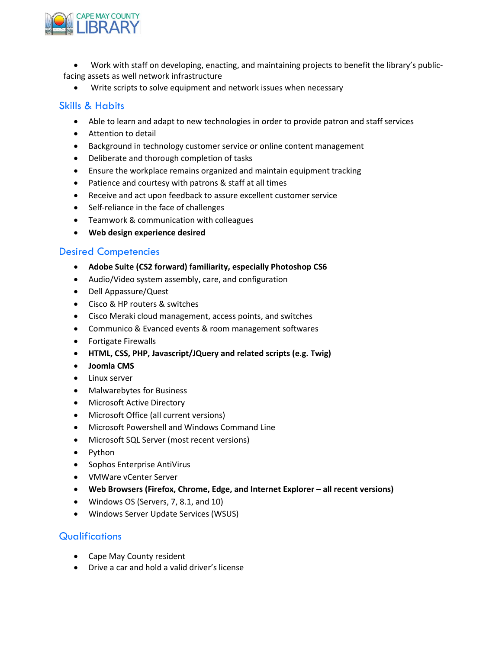

 Work with staff on developing, enacting, and maintaining projects to benefit the library's publicfacing assets as well network infrastructure

Write scripts to solve equipment and network issues when necessary

#### Skills & Habits

- Able to learn and adapt to new technologies in order to provide patron and staff services
- Attention to detail
- Background in technology customer service or online content management
- Deliberate and thorough completion of tasks
- Ensure the workplace remains organized and maintain equipment tracking
- Patience and courtesy with patrons & staff at all times
- Receive and act upon feedback to assure excellent customer service
- Self-reliance in the face of challenges
- Teamwork & communication with colleagues
- Web design experience desired

#### Desired Competencies

- Adobe Suite (CS2 forward) familiarity, especially Photoshop CS6
- Audio/Video system assembly, care, and configuration
- Dell Appassure/Quest
- Cisco & HP routers & switches
- Cisco Meraki cloud management, access points, and switches
- Communico & Evanced events & room management softwares
- Fortigate Firewalls
- HTML, CSS, PHP, Javascript/JQuery and related scripts (e.g. Twig)
- Joomla CMS
- Linux server
- Malwarebytes for Business
- Microsoft Active Directory
- Microsoft Office (all current versions)
- Microsoft Powershell and Windows Command Line
- Microsoft SQL Server (most recent versions)
- Python
- Sophos Enterprise AntiVirus
- VMWare vCenter Server
- Web Browsers (Firefox, Chrome, Edge, and Internet Explorer all recent versions)
- Windows OS (Servers, 7, 8.1, and 10)
- Windows Server Update Services (WSUS)

### **Qualifications**

- Cape May County resident
- Drive a car and hold a valid driver's license